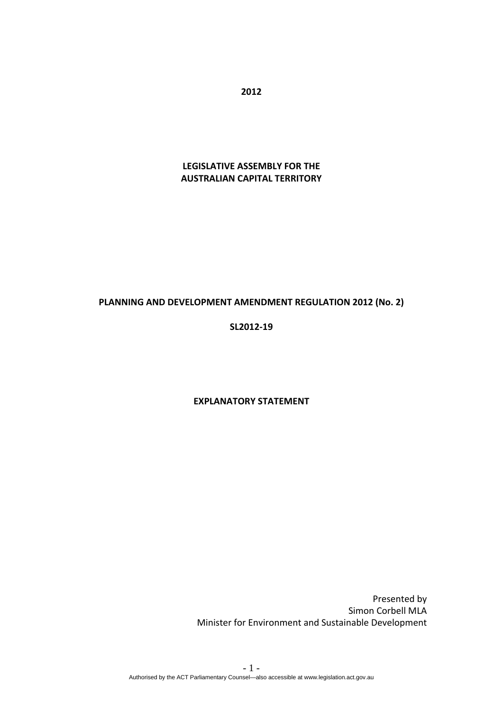**2012**

# **LEGISLATIVE ASSEMBLY FOR THE AUSTRALIAN CAPITAL TERRITORY**

### **PLANNING AND DEVELOPMENT AMENDMENT REGULATION 2012 (No. 2)**

### **SL2012‐19**

#### **EXPLANATORY STATEMENT**

Presented by Simon Corbell MLA Minister for Environment and Sustainable Development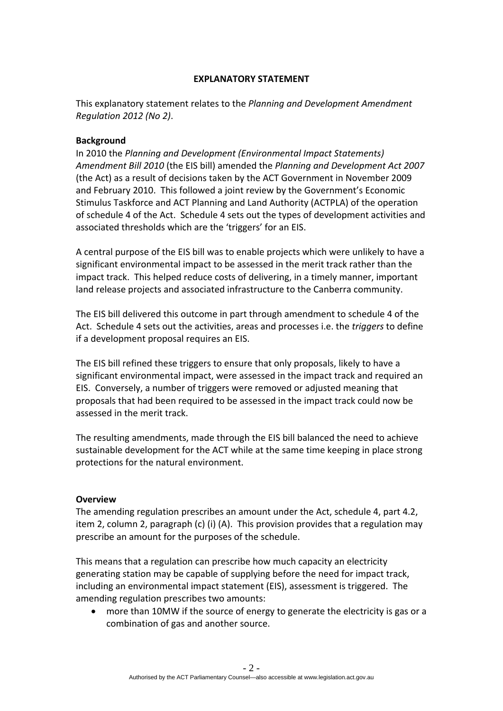### **EXPLANATORY STATEMENT**

This explanatory statement relates to the *Planning and Development Amendment Regulation 2012 (No 2)*.

## **Background**

In 2010 the *Planning and Development (Environmental Impact Statements) Amendment Bill 2010* (the EIS bill) amended the *Planning and Development Act 2007* (the Act) as a result of decisions taken by the ACT Government in November 2009 and February 2010. This followed a joint review by the Government's Economic Stimulus Taskforce and ACT Planning and Land Authority (ACTPLA) of the operation of schedule 4 of the Act. Schedule 4 sets out the types of development activities and associated thresholds which are the 'triggers' for an EIS.

A central purpose of the EIS bill was to enable projects which were unlikely to have a significant environmental impact to be assessed in the merit track rather than the impact track. This helped reduce costs of delivering, in a timely manner, important land release projects and associated infrastructure to the Canberra community.

The EIS bill delivered this outcome in part through amendment to schedule 4 of the Act. Schedule 4 sets out the activities, areas and processes i.e. the *triggers* to define if a development proposal requires an EIS.

The EIS bill refined these triggers to ensure that only proposals, likely to have a significant environmental impact, were assessed in the impact track and required an EIS. Conversely, a number of triggers were removed or adjusted meaning that proposals that had been required to be assessed in the impact track could now be assessed in the merit track.

The resulting amendments, made through the EIS bill balanced the need to achieve sustainable development for the ACT while at the same time keeping in place strong protections for the natural environment.

### **Overview**

The amending regulation prescribes an amount under the Act, schedule 4, part 4.2, item 2, column 2, paragraph (c) (i) (A). This provision provides that a regulation may prescribe an amount for the purposes of the schedule.

This means that a regulation can prescribe how much capacity an electricity generating station may be capable of supplying before the need for impact track, including an environmental impact statement (EIS), assessment is triggered. The amending regulation prescribes two amounts:

 more than 10MW if the source of energy to generate the electricity is gas or a combination of gas and another source.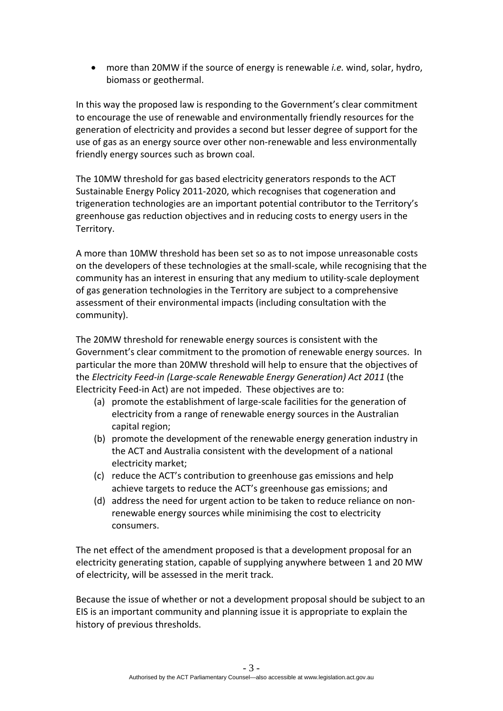more than 20MW if the source of energy is renewable *i.e.* wind, solar, hydro, biomass or geothermal.

In this way the proposed law is responding to the Government's clear commitment to encourage the use of renewable and environmentally friendly resources for the generation of electricity and provides a second but lesser degree of support for the use of gas as an energy source over other non‐renewable and less environmentally friendly energy sources such as brown coal.

The 10MW threshold for gas based electricity generators responds to the ACT Sustainable Energy Policy 2011‐2020, which recognises that cogeneration and trigeneration technologies are an important potential contributor to the Territory's greenhouse gas reduction objectives and in reducing costs to energy users in the Territory.

A more than 10MW threshold has been set so as to not impose unreasonable costs on the developers of these technologies at the small‐scale, while recognising that the community has an interest in ensuring that any medium to utility-scale deployment of gas generation technologies in the Territory are subject to a comprehensive assessment of their environmental impacts (including consultation with the community).

The 20MW threshold for renewable energy sources is consistent with the Government's clear commitment to the promotion of renewable energy sources. In particular the more than 20MW threshold will help to ensure that the objectives of the *Electricity Feed‐in (Large‐scale Renewable Energy Generation) Act 2011* (the Electricity Feed‐in Act) are not impeded. These objectives are to:

- (a) promote the establishment of large‐scale facilities for the generation of electricity from a range of renewable energy sources in the Australian capital region;
- (b) promote the development of the renewable energy generation industry in the ACT and Australia consistent with the development of a national electricity market;
- (c) reduce the ACT's contribution to greenhouse gas emissions and help achieve targets to reduce the ACT's greenhouse gas emissions; and
- (d) address the need for urgent action to be taken to reduce reliance on non‐ renewable energy sources while minimising the cost to electricity consumers.

The net effect of the amendment proposed is that a development proposal for an electricity generating station, capable of supplying anywhere between 1 and 20 MW of electricity, will be assessed in the merit track.

Because the issue of whether or not a development proposal should be subject to an EIS is an important community and planning issue it is appropriate to explain the history of previous thresholds.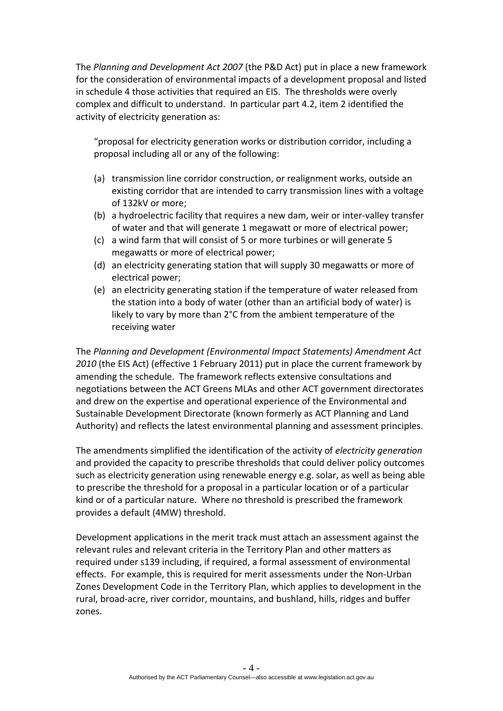The *Planning and Development Act 2007* (the P&D Act) put in place a new framework for the consideration of environmental impacts of a development proposal and listed in schedule 4 those activities that required an EIS. The thresholds were overly complex and difficult to understand. In particular part 4.2, item 2 identified the activity of electricity generation as:

"proposal for electricity generation works or distribution corridor, including a proposal including all or any of the following:

- (a) transmission line corridor construction, or realignment works, outside an existing corridor that are intended to carry transmission lines with a voltage of 132kV or more;
- (b) a hydroelectric facility that requires a new dam, weir or inter‐valley transfer of water and that will generate 1 megawatt or more of electrical power;
- (c) a wind farm that will consist of 5 or more turbines or will generate 5 megawatts or more of electrical power;
- (d) an electricity generating station that will supply 30 megawatts or more of electrical power;
- (e) an electricity generating station if the temperature of water released from the station into a body of water (other than an artificial body of water) is likely to vary by more than 2°C from the ambient temperature of the receiving water

The *Planning and Development (Environmental Impact Statements) Amendment Act 2010* (the EIS Act) (effective 1 February 2011) put in place the current framework by amending the schedule. The framework reflects extensive consultations and negotiations between the ACT Greens MLAs and other ACT government directorates and drew on the expertise and operational experience of the Environmental and Sustainable Development Directorate (known formerly as ACT Planning and Land Authority) and reflects the latest environmental planning and assessment principles.

The amendments simplified the identification of the activity of *electricity generation* and provided the capacity to prescribe thresholds that could deliver policy outcomes such as electricity generation using renewable energy e.g. solar, as well as being able to prescribe the threshold for a proposal in a particular location or of a particular kind or of a particular nature. Where no threshold is prescribed the framework provides a default (4MW) threshold.

Development applications in the merit track must attach an assessment against the relevant rules and relevant criteria in the Territory Plan and other matters as required under s139 including, if required, a formal assessment of environmental effects. For example, this is required for merit assessments under the Non‐Urban Zones Development Code in the Territory Plan, which applies to development in the rural, broad‐acre, river corridor, mountains, and bushland, hills, ridges and buffer zones.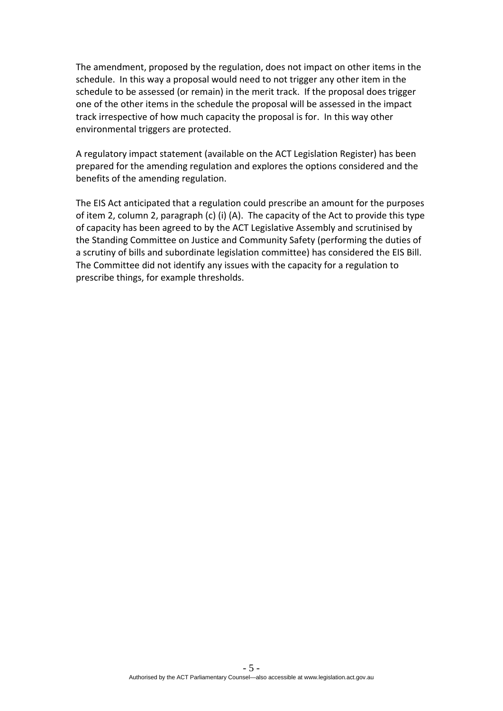The amendment, proposed by the regulation, does not impact on other items in the schedule. In this way a proposal would need to not trigger any other item in the schedule to be assessed (or remain) in the merit track. If the proposal does trigger one of the other items in the schedule the proposal will be assessed in the impact track irrespective of how much capacity the proposal is for. In this way other environmental triggers are protected.

A regulatory impact statement (available on the ACT Legislation Register) has been prepared for the amending regulation and explores the options considered and the benefits of the amending regulation.

The EIS Act anticipated that a regulation could prescribe an amount for the purposes of item 2, column 2, paragraph (c) (i) (A). The capacity of the Act to provide this type of capacity has been agreed to by the ACT Legislative Assembly and scrutinised by the Standing Committee on Justice and Community Safety (performing the duties of a scrutiny of bills and subordinate legislation committee) has considered the EIS Bill. The Committee did not identify any issues with the capacity for a regulation to prescribe things, for example thresholds.